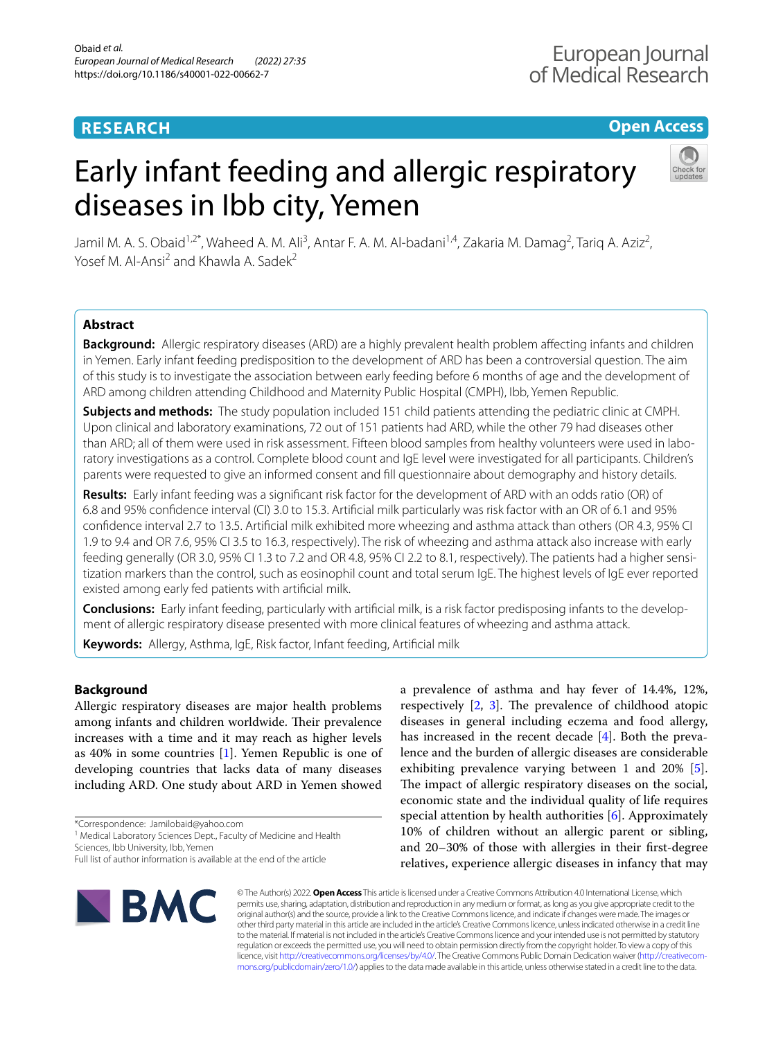# **RESEARCH**

## **Open Access**

# Early infant feeding and allergic respiratory diseases in Ibb city, Yemen



Jamil M. A. S. Obaid<sup>1,2\*</sup>, Waheed A. M. Ali<sup>3</sup>, Antar F. A. M. Al-badani<sup>1,4</sup>, Zakaria M. Damag<sup>2</sup>, Tariq A. Aziz<sup>2</sup>, Yosef M. Al-Ansi<sup>2</sup> and Khawla A. Sadek<sup>2</sup>

## **Abstract**

**Background:** Allergic respiratory diseases (ARD) are a highly prevalent health problem afecting infants and children in Yemen. Early infant feeding predisposition to the development of ARD has been a controversial question. The aim of this study is to investigate the association between early feeding before 6 months of age and the development of ARD among children attending Childhood and Maternity Public Hospital (CMPH), Ibb, Yemen Republic.

**Subjects and methods:** The study population included 151 child patients attending the pediatric clinic at CMPH. Upon clinical and laboratory examinations, 72 out of 151 patients had ARD, while the other 79 had diseases other than ARD; all of them were used in risk assessment. Fifteen blood samples from healthy volunteers were used in laboratory investigations as a control. Complete blood count and IgE level were investigated for all participants. Children's parents were requested to give an informed consent and fll questionnaire about demography and history details.

**Results:** Early infant feeding was a signifcant risk factor for the development of ARD with an odds ratio (OR) of 6.8 and 95% confdence interval (CI) 3.0 to 15.3. Artifcial milk particularly was risk factor with an OR of 6.1 and 95% confdence interval 2.7 to 13.5. Artifcial milk exhibited more wheezing and asthma attack than others (OR 4.3, 95% CI 1.9 to 9.4 and OR 7.6, 95% CI 3.5 to 16.3, respectively). The risk of wheezing and asthma attack also increase with early feeding generally (OR 3.0, 95% CI 1.3 to 7.2 and OR 4.8, 95% CI 2.2 to 8.1, respectively). The patients had a higher sensitization markers than the control, such as eosinophil count and total serum IgE. The highest levels of IgE ever reported existed among early fed patients with artifcial milk.

**Conclusions:** Early infant feeding, particularly with artifcial milk, is a risk factor predisposing infants to the develop‑ ment of allergic respiratory disease presented with more clinical features of wheezing and asthma attack.

**Keywords:** Allergy, Asthma, IgE, Risk factor, Infant feeding, Artifcial milk

## **Background**

Allergic respiratory diseases are major health problems among infants and children worldwide. Their prevalence increases with a time and it may reach as higher levels as 40% in some countries [[1\]](#page-6-0). Yemen Republic is one of developing countries that lacks data of many diseases including ARD. One study about ARD in Yemen showed

\*Correspondence: Jamilobaid@yahoo.com

<sup>1</sup> Medical Laboratory Sciences Dept., Faculty of Medicine and Health Sciences, Ibb University, Ibb, Yemen

a prevalence of asthma and hay fever of 14.4%, 12%, respectively  $[2, 3]$  $[2, 3]$  $[2, 3]$  $[2, 3]$  $[2, 3]$ . The prevalence of childhood atopic diseases in general including eczema and food allergy, has increased in the recent decade [\[4](#page-6-3)]. Both the prevalence and the burden of allergic diseases are considerable exhibiting prevalence varying between 1 and 20% [\[5](#page-6-4)]. The impact of allergic respiratory diseases on the social, economic state and the individual quality of life requires special attention by health authorities [\[6\]](#page-6-5). Approximately 10% of children without an allergic parent or sibling, and 20–30% of those with allergies in their frst-degree relatives, experience allergic diseases in infancy that may



© The Author(s) 2022. **Open Access** This article is licensed under a Creative Commons Attribution 4.0 International License, which permits use, sharing, adaptation, distribution and reproduction in any medium or format, as long as you give appropriate credit to the original author(s) and the source, provide a link to the Creative Commons licence, and indicate if changes were made. The images or other third party material in this article are included in the article's Creative Commons licence, unless indicated otherwise in a credit line to the material. If material is not included in the article's Creative Commons licence and your intended use is not permitted by statutory regulation or exceeds the permitted use, you will need to obtain permission directly from the copyright holder. To view a copy of this licence, visit [http://creativecommons.org/licenses/by/4.0/.](http://creativecommons.org/licenses/by/4.0/) The Creative Commons Public Domain Dedication waiver (http://creativecom· [mons.org/publicdomain/zero/1.0/\)](http://creativecommons.org/publicdomain/zero/1.0/) applies to the data made available in this article, unless otherwise stated in a credit line to the data.

Full list of author information is available at the end of the article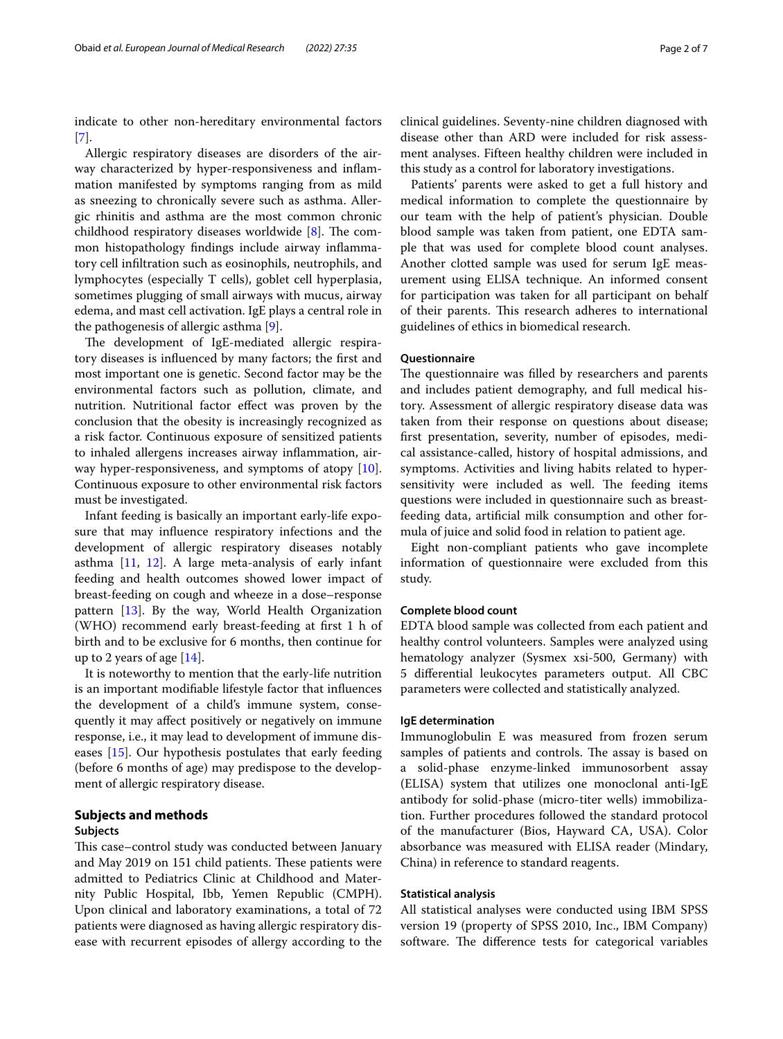indicate to other non-hereditary environmental factors [[7\]](#page-6-6).

Allergic respiratory diseases are disorders of the airway characterized by hyper-responsiveness and infammation manifested by symptoms ranging from as mild as sneezing to chronically severe such as asthma. Allergic rhinitis and asthma are the most common chronic childhood respiratory diseases worldwide  $[8]$  $[8]$ . The common histopathology fndings include airway infammatory cell infltration such as eosinophils, neutrophils, and lymphocytes (especially T cells), goblet cell hyperplasia, sometimes plugging of small airways with mucus, airway edema, and mast cell activation. IgE plays a central role in the pathogenesis of allergic asthma [[9\]](#page-6-8).

The development of IgE-mediated allergic respiratory diseases is infuenced by many factors; the frst and most important one is genetic. Second factor may be the environmental factors such as pollution, climate, and nutrition. Nutritional factor efect was proven by the conclusion that the obesity is increasingly recognized as a risk factor. Continuous exposure of sensitized patients to inhaled allergens increases airway infammation, air-way hyper-responsiveness, and symptoms of atopy [\[10](#page-6-9)]. Continuous exposure to other environmental risk factors must be investigated.

Infant feeding is basically an important early-life exposure that may infuence respiratory infections and the development of allergic respiratory diseases notably asthma [\[11](#page-6-10), [12](#page-6-11)]. A large meta-analysis of early infant feeding and health outcomes showed lower impact of breast-feeding on cough and wheeze in a dose–response pattern [[13\]](#page-6-12). By the way, World Health Organization (WHO) recommend early breast-feeding at frst 1 h of birth and to be exclusive for 6 months, then continue for up to 2 years of age [\[14](#page-6-13)].

It is noteworthy to mention that the early-life nutrition is an important modifable lifestyle factor that infuences the development of a child's immune system, consequently it may afect positively or negatively on immune response, i.e., it may lead to development of immune diseases [[15\]](#page-6-14). Our hypothesis postulates that early feeding (before 6 months of age) may predispose to the development of allergic respiratory disease.

## **Subjects and methods**

## **Subjects**

This case–control study was conducted between January and May 2019 on 151 child patients. These patients were admitted to Pediatrics Clinic at Childhood and Maternity Public Hospital, Ibb, Yemen Republic (CMPH). Upon clinical and laboratory examinations, a total of 72 patients were diagnosed as having allergic respiratory disease with recurrent episodes of allergy according to the clinical guidelines. Seventy-nine children diagnosed with disease other than ARD were included for risk assessment analyses. Fifteen healthy children were included in this study as a control for laboratory investigations.

Patients' parents were asked to get a full history and medical information to complete the questionnaire by our team with the help of patient's physician. Double blood sample was taken from patient, one EDTA sample that was used for complete blood count analyses. Another clotted sample was used for serum IgE measurement using ELlSA technique. An informed consent for participation was taken for all participant on behalf of their parents. This research adheres to international guidelines of ethics in biomedical research.

## **Questionnaire**

The questionnaire was filled by researchers and parents and includes patient demography, and full medical history. Assessment of allergic respiratory disease data was taken from their response on questions about disease; frst presentation, severity, number of episodes, medical assistance-called, history of hospital admissions, and symptoms. Activities and living habits related to hypersensitivity were included as well. The feeding items questions were included in questionnaire such as breastfeeding data, artifcial milk consumption and other formula of juice and solid food in relation to patient age.

Eight non-compliant patients who gave incomplete information of questionnaire were excluded from this study.

## **Complete blood count**

EDTA blood sample was collected from each patient and healthy control volunteers. Samples were analyzed using hematology analyzer (Sysmex xsi-500, Germany) with 5 diferential leukocytes parameters output. All CBC parameters were collected and statistically analyzed.

## **IgE determination**

Immunoglobulin E was measured from frozen serum samples of patients and controls. The assay is based on a solid-phase enzyme-linked immunosorbent assay (ELISA) system that utilizes one monoclonal anti-IgE antibody for solid-phase (micro-titer wells) immobilization. Further procedures followed the standard protocol of the manufacturer (Bios, Hayward CA, USA). Color absorbance was measured with ELISA reader (Mindary, China) in reference to standard reagents.

## **Statistical analysis**

All statistical analyses were conducted using IBM SPSS version 19 (property of SPSS 2010, Inc., IBM Company) software. The difference tests for categorical variables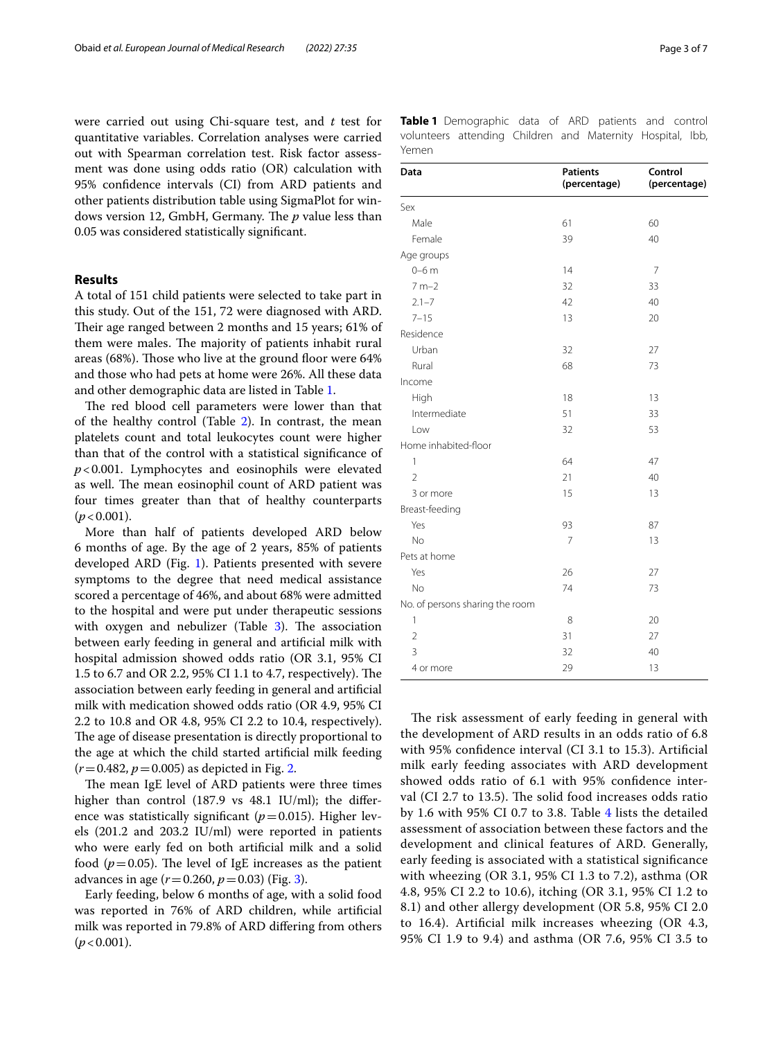were carried out using Chi-square test, and *t* test for quantitative variables. Correlation analyses were carried out with Spearman correlation test. Risk factor assessment was done using odds ratio (OR) calculation with 95% confdence intervals (CI) from ARD patients and other patients distribution table using SigmaPlot for windows version 12, GmbH, Germany. The *p* value less than 0.05 was considered statistically signifcant.

## **Results**

A total of 151 child patients were selected to take part in this study. Out of the 151, 72 were diagnosed with ARD. Their age ranged between 2 months and 15 years; 61% of them were males. The majority of patients inhabit rural areas (68%). Those who live at the ground floor were 64% and those who had pets at home were 26%. All these data and other demographic data are listed in Table [1](#page-2-0).

The red blood cell parameters were lower than that of the healthy control (Table [2](#page-3-0)). In contrast, the mean platelets count and total leukocytes count were higher than that of the control with a statistical signifcance of *p*<0.001. Lymphocytes and eosinophils were elevated as well. The mean eosinophil count of ARD patient was four times greater than that of healthy counterparts  $(p < 0.001)$ .

More than half of patients developed ARD below 6 months of age. By the age of 2 years, 85% of patients developed ARD (Fig. [1](#page-4-0)). Patients presented with severe symptoms to the degree that need medical assistance scored a percentage of 46%, and about 68% were admitted to the hospital and were put under therapeutic sessions with oxygen and nebulizer (Table  $3$ ). The association between early feeding in general and artifcial milk with hospital admission showed odds ratio (OR 3.1, 95% CI 1.5 to 6.7 and OR 2.2, 95% CI 1.1 to 4.7, respectively). The association between early feeding in general and artifcial milk with medication showed odds ratio (OR 4.9, 95% CI 2.2 to 10.8 and OR 4.8, 95% CI 2.2 to 10.4, respectively). The age of disease presentation is directly proportional to the age at which the child started artifcial milk feeding  $(r=0.482, p=0.005)$  as depicted in Fig. [2.](#page-4-2)

The mean IgE level of ARD patients were three times higher than control (187.9 vs 48.1 IU/ml); the diference was statistically significant  $(p=0.015)$ . Higher levels (201.2 and 203.2 IU/ml) were reported in patients who were early fed on both artifcial milk and a solid food ( $p=0.05$ ). The level of IgE increases as the patient advances in age (*r*=0.260, *p*=0.03) (Fig. [3\)](#page-4-3).

Early feeding, below 6 months of age, with a solid food was reported in 76% of ARD children, while artifcial milk was reported in 79.8% of ARD difering from others  $(p < 0.001)$ .

<span id="page-2-0"></span>

|       | <b>Table 1</b> Demographic data of ARD patients and control |  |  |  |  |
|-------|-------------------------------------------------------------|--|--|--|--|
|       | volunteers attending Children and Maternity Hospital, Ibb,  |  |  |  |  |
| Yemen |                                                             |  |  |  |  |

| Data                            | <b>Patients</b><br>(percentage) | Control<br>(percentage) |
|---------------------------------|---------------------------------|-------------------------|
| Sex                             |                                 |                         |
| Male                            | 61                              | 60                      |
| Female                          | 39                              | 40                      |
| Age groups                      |                                 |                         |
| $0-6$ m                         | 14                              | 7                       |
| $7 m - 2$                       | 32                              | 33                      |
| $2.1 - 7$                       | 42                              | 40                      |
| $7 - 15$                        | 13                              | 20                      |
| Residence                       |                                 |                         |
| Urban                           | 32                              | 27                      |
| Rural                           | 68                              | 73                      |
| Income                          |                                 |                         |
| High                            | 18                              | 13                      |
| Intermediate                    | 51                              | 33                      |
| Low                             | 32                              | 53                      |
| Home inhabited-floor            |                                 |                         |
| 1                               | 64                              | 47                      |
| $\overline{2}$                  | 21                              | 40                      |
| 3 or more                       | 15                              | 13                      |
| Breast-feeding                  |                                 |                         |
| Yes                             | 93                              | 87                      |
| No                              | $\overline{7}$                  | 13                      |
| Pets at home                    |                                 |                         |
| Yes                             | 26                              | 27                      |
| No                              | 74                              | 73                      |
| No. of persons sharing the room |                                 |                         |
| $\mathbf{1}$                    | 8                               | 20                      |
| $\overline{2}$                  | 31                              | 27                      |
| 3                               | 32                              | 40                      |
| 4 or more                       | 29                              | 13                      |

The risk assessment of early feeding in general with the development of ARD results in an odds ratio of 6.8 with 95% confdence interval (CI 3.1 to 15.3). Artifcial milk early feeding associates with ARD development showed odds ratio of 6.1 with 95% confdence interval (CI 2.7 to 13.5). The solid food increases odds ratio by 1.6 with 95% CI 0.7 to 3.8. Table [4](#page-5-0) lists the detailed assessment of association between these factors and the development and clinical features of ARD. Generally, early feeding is associated with a statistical signifcance with wheezing (OR 3.1, 95% CI 1.3 to 7.2), asthma (OR 4.8, 95% CI 2.2 to 10.6), itching (OR 3.1, 95% CI 1.2 to 8.1) and other allergy development (OR 5.8, 95% CI 2.0 to 16.4). Artifcial milk increases wheezing (OR 4.3, 95% CI 1.9 to 9.4) and asthma (OR 7.6, 95% CI 3.5 to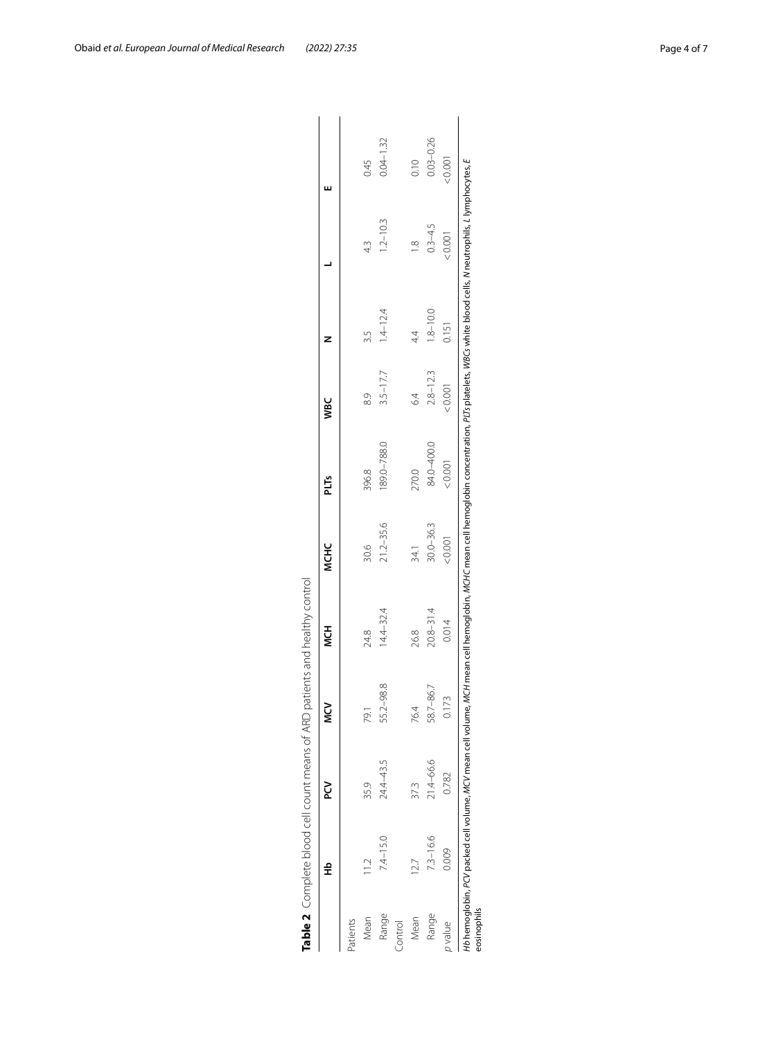|          | 웊             |           | ΣŠ        | 7<br>V        | <b>NCHC</b>   | PLTs        | <b>VBC</b>   |              |               | ш             |
|----------|---------------|-----------|-----------|---------------|---------------|-------------|--------------|--------------|---------------|---------------|
| Patients |               |           |           |               |               |             |              |              |               |               |
| Mean     | $\frac{1}{2}$ | 35.9      | 79.1      | 24.8          | 30.6          | 396.8       | 83           | 3.5          | 4.3           | 0.45          |
| Range    | $7.4 - 15.0$  | 24.4–43.5 | 55.2-98.8 | $14.4 - 32.4$ | $21.2 - 35.6$ | 189.0-788.0 | $3.5 - 17.7$ | $1.4 - 12.4$ | $1.2 - 10.3$  | $0.04 - 1.32$ |
| Control  |               |           |           |               |               |             |              |              |               |               |
| Mean     | 127           | 37.3      | 76.4      | 26.8          | 34.1          | 270.0       | 6.4          | 44           | $\frac{8}{1}$ | 0.10          |
| Range    | 7.3-16.6      | 21.4-66.6 | 58.7-86.7 | $20.8 - 31.4$ | $30.0 - 36.3$ | 84.0-400.0  | $2.8 - 12.3$ | $1.8 - 10.0$ | $0.3 - 4.5$   | $0.03 - 0.26$ |
| p value  | 0.009         | 0.782     | 0.173     | 0.014         | 0.001         | < 0.001     | 0.001        | 0.151        | 20.001        | 10001         |

<span id="page-3-0"></span>

| ֚֓                                    | ı      |
|---------------------------------------|--------|
|                                       |        |
| ļ                                     |        |
| I                                     |        |
| $\ddot{\phantom{a}}$                  |        |
|                                       |        |
| ł                                     |        |
| I                                     |        |
|                                       |        |
|                                       |        |
| i<br>Santa Caracasa<br>Santa Caracasa |        |
|                                       |        |
|                                       |        |
| i<br>i                                |        |
|                                       |        |
| $-1$                                  | j      |
|                                       |        |
| j                                     |        |
|                                       |        |
|                                       | ١      |
|                                       |        |
| י                                     |        |
|                                       |        |
|                                       |        |
|                                       |        |
|                                       |        |
|                                       |        |
|                                       |        |
|                                       |        |
|                                       |        |
|                                       |        |
|                                       | ١      |
|                                       | J      |
|                                       |        |
|                                       | j<br>) |
|                                       |        |
| 1                                     | ١      |
| $\overline{\phantom{a}}$              |        |
|                                       |        |
|                                       |        |
| an an international and               |        |
|                                       |        |
|                                       |        |
|                                       |        |
|                                       |        |
| ׇ֚֬                                   | ١      |
|                                       |        |
|                                       |        |
|                                       | ļ      |
|                                       |        |
|                                       |        |
|                                       |        |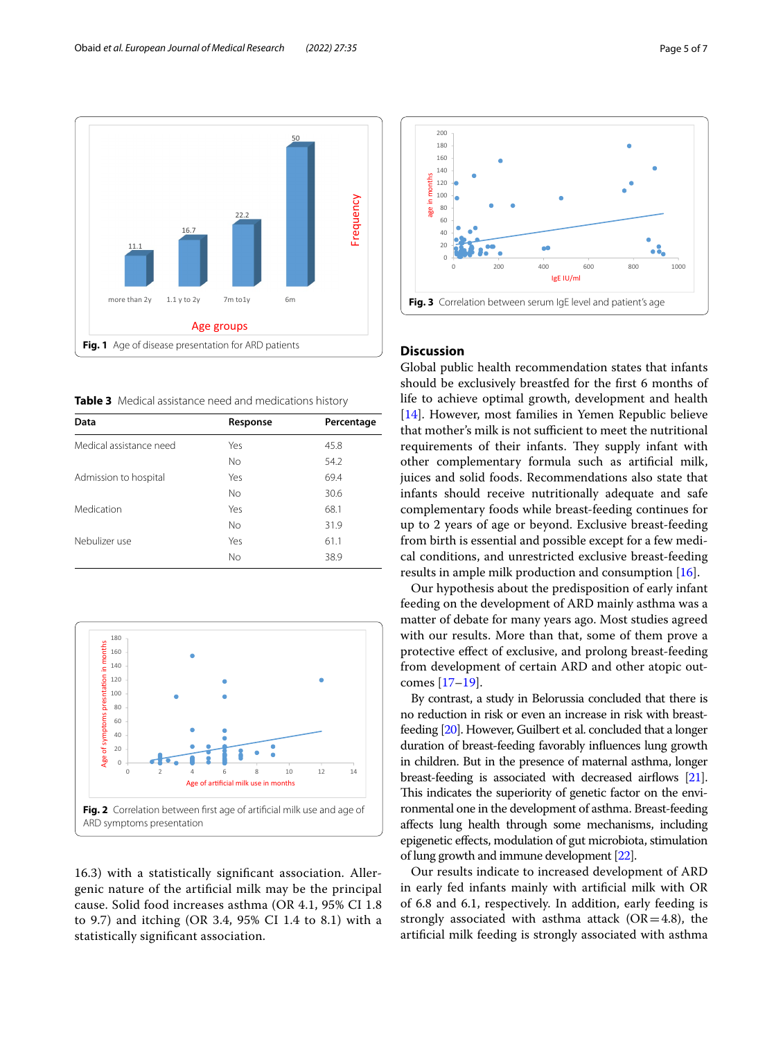

<span id="page-4-1"></span><span id="page-4-0"></span>**Table 3** Medical assistance need and medications history

| Data                    | Response  | Percentage |
|-------------------------|-----------|------------|
| Medical assistance need | Yes       | 45.8       |
|                         | <b>No</b> | 54.2       |
| Admission to hospital   | Yes       | 69.4       |
|                         | <b>No</b> | 30.6       |
| Medication              | Yes       | 68.1       |
|                         | <b>No</b> | 31.9       |
| Nebulizer use           | Yes       | 61.1       |
|                         | <b>No</b> | 38.9       |
|                         |           |            |



<span id="page-4-2"></span>16.3) with a statistically signifcant association. Allergenic nature of the artifcial milk may be the principal cause. Solid food increases asthma (OR 4.1, 95% CI 1.8 to 9.7) and itching (OR 3.4, 95% CI 1.4 to 8.1) with a statistically signifcant association.



## <span id="page-4-3"></span>**Discussion**

Global public health recommendation states that infants should be exclusively breastfed for the frst 6 months of life to achieve optimal growth, development and health [[14\]](#page-6-13). However, most families in Yemen Republic believe that mother's milk is not sufficient to meet the nutritional requirements of their infants. They supply infant with other complementary formula such as artifcial milk, juices and solid foods. Recommendations also state that infants should receive nutritionally adequate and safe complementary foods while breast-feeding continues for up to 2 years of age or beyond. Exclusive breast-feeding from birth is essential and possible except for a few medical conditions, and unrestricted exclusive breast-feeding results in ample milk production and consumption [\[16](#page-6-15)].

Our hypothesis about the predisposition of early infant feeding on the development of ARD mainly asthma was a matter of debate for many years ago. Most studies agreed with our results. More than that, some of them prove a protective efect of exclusive, and prolong breast-feeding from development of certain ARD and other atopic outcomes [\[17](#page-6-16)[–19\]](#page-6-17).

By contrast, a study in Belorussia concluded that there is no reduction in risk or even an increase in risk with breastfeeding [\[20\]](#page-6-18). However, Guilbert et al. concluded that a longer duration of breast-feeding favorably infuences lung growth in children. But in the presence of maternal asthma, longer breast-feeding is associated with decreased airflows [\[21](#page-6-19)]. This indicates the superiority of genetic factor on the environmental one in the development of asthma. Breast-feeding afects lung health through some mechanisms, including epigenetic efects, modulation of gut microbiota, stimulation of lung growth and immune development [\[22\]](#page-6-20).

Our results indicate to increased development of ARD in early fed infants mainly with artifcial milk with OR of 6.8 and 6.1, respectively. In addition, early feeding is strongly associated with asthma attack  $(OR=4.8)$ , the artifcial milk feeding is strongly associated with asthma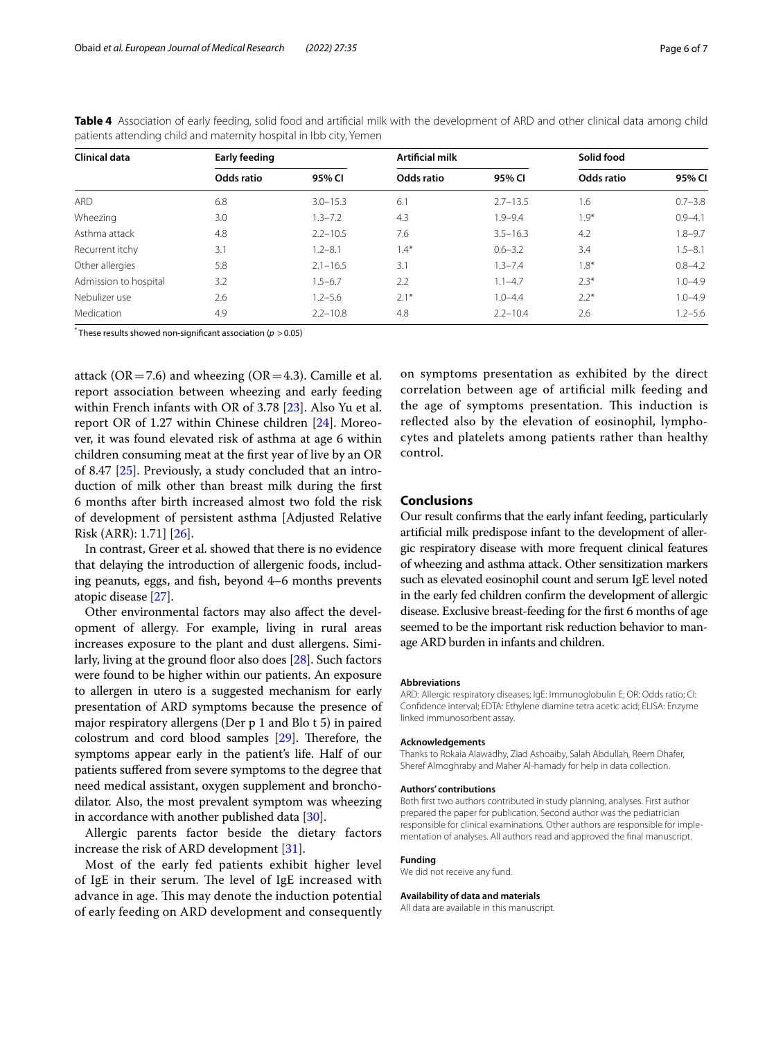| Clinical data         | Early feeding |              | <b>Artificial milk</b> |              | Solid food |             |
|-----------------------|---------------|--------------|------------------------|--------------|------------|-------------|
|                       | Odds ratio    | 95% CI       | Odds ratio             | 95% CI       | Odds ratio | 95% CI      |
| <b>ARD</b>            | 6.8           | $3.0 - 15.3$ | 6.1                    | $2.7 - 13.5$ | 1.6        | $0.7 - 3.8$ |
| Wheezing              | 3.0           | $1.3 - 7.2$  | 4.3                    | $1.9 - 9.4$  | $1.9*$     | $0.9 - 4.1$ |
| Asthma attack         | 4.8           | $2.2 - 10.5$ | 7.6                    | $3.5 - 16.3$ | 4.2        | $1.8 - 9.7$ |
| Recurrent itchy       | 3.1           | $1.2 - 8.1$  | $1.4*$                 | $0.6 - 3.2$  | 3.4        | $1.5 - 8.1$ |
| Other allergies       | 5.8           | $2.1 - 16.5$ | 3.1                    | $1.3 - 7.4$  | $1.8*$     | $0.8 - 4.2$ |
| Admission to hospital | 3.2           | $1.5 - 6.7$  | 2.2                    | $1.1 - 4.7$  | $2.3*$     | $1.0 - 4.9$ |
| Nebulizer use         | 2.6           | $1.2 - 5.6$  | $2.1*$                 | $1.0 - 4.4$  | $2.2*$     | $1.0 - 4.9$ |
| Medication            | 4.9           | $2.2 - 10.8$ | 4.8                    | $2.2 - 10.4$ | 2.6        | $1.2 - 5.6$ |

<span id="page-5-0"></span>**Table 4** Association of early feeding, solid food and artifcial milk with the development of ARD and other clinical data among child patients attending child and maternity hospital in Ibb city, Yemen

\* These results showed non-signifcant association (*p* >0.05)

attack ( $OR = 7.6$ ) and wheezing ( $OR = 4.3$ ). Camille et al. report association between wheezing and early feeding within French infants with OR of 3.78 [\[23](#page-6-21)]. Also Yu et al. report OR of 1.27 within Chinese children [[24\]](#page-6-22). Moreover, it was found elevated risk of asthma at age 6 within children consuming meat at the frst year of live by an OR of 8.47 [\[25\]](#page-6-23). Previously, a study concluded that an introduction of milk other than breast milk during the frst 6 months after birth increased almost two fold the risk of development of persistent asthma [Adjusted Relative Risk (ARR): 1.71] [\[26](#page-6-24)].

In contrast, Greer et al. showed that there is no evidence that delaying the introduction of allergenic foods, including peanuts, eggs, and fish, beyond 4–6 months prevents atopic disease [\[27\]](#page-6-25).

Other environmental factors may also afect the development of allergy. For example, living in rural areas increases exposure to the plant and dust allergens. Similarly, living at the ground floor also does  $[28]$  $[28]$ . Such factors were found to be higher within our patients. An exposure to allergen in utero is a suggested mechanism for early presentation of ARD symptoms because the presence of major respiratory allergens (Der p 1 and Blo t 5) in paired colostrum and cord blood samples  $[29]$ . Therefore, the symptoms appear early in the patient's life. Half of our patients sufered from severe symptoms to the degree that need medical assistant, oxygen supplement and bronchodilator. Also, the most prevalent symptom was wheezing in accordance with another published data [\[30](#page-6-28)].

Allergic parents factor beside the dietary factors increase the risk of ARD development [\[31](#page-6-29)].

Most of the early fed patients exhibit higher level of IgE in their serum. The level of IgE increased with advance in age. This may denote the induction potential of early feeding on ARD development and consequently on symptoms presentation as exhibited by the direct correlation between age of artifcial milk feeding and the age of symptoms presentation. This induction is refected also by the elevation of eosinophil, lymphocytes and platelets among patients rather than healthy control.

## **Conclusions**

Our result confrms that the early infant feeding, particularly artifcial milk predispose infant to the development of allergic respiratory disease with more frequent clinical features of wheezing and asthma attack. Other sensitization markers such as elevated eosinophil count and serum IgE level noted in the early fed children confrm the development of allergic disease. Exclusive breast-feeding for the frst 6 months of age seemed to be the important risk reduction behavior to manage ARD burden in infants and children.

#### **Abbreviations**

ARD: Allergic respiratory diseases; IgE: Immunoglobulin E; OR: Odds ratio; CI: Confdence interval; EDTA: Ethylene diamine tetra acetic acid; ELISA: Enzyme linked immunosorbent assay.

#### **Acknowledgements**

Thanks to Rokaia Alawadhy, Ziad Ashoaiby, Salah Abdullah, Reem Dhafer, Sheref Almoghraby and Maher Al-hamady for help in data collection.

#### **Authors' contributions**

Both frst two authors contributed in study planning, analyses. First author prepared the paper for publication. Second author was the pediatrician responsible for clinical examinations. Other authors are responsible for implementation of analyses. All authors read and approved the fnal manuscript.

#### **Funding**

We did not receive any fund.

## **Availability of data and materials**

All data are available in this manuscript.